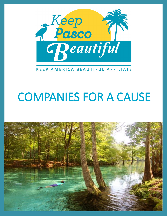

#### **KFFP AMFRICA BFAUTIFUL AFFILIATE**

# COMPANIES FOR A CAUSE

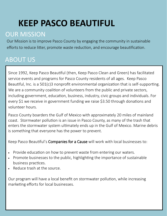## **KEEP PASCO BEAUTIFUL**

### OUR MISSION

Our Mission is to improve Pasco County by engaging the community in sustainable efforts to reduce litter, promote waste reduction, and encourage beautification.

### ABOUT US

Since 1992, Keep Pasco Beautiful (then, Keep Pasco Clean and Green) has facilitated service events and programs for Pasco County residents of all ages. Keep Pasco Beautiful, Inc. is a 501(c)3 nonprofit environmental organization that is self-supporting. We are a community coalition of volunteers from the public and private sectors, including government, education, business, industry, civic groups and individuals. For every \$1 we receive in government funding we raise \$3.50 through donations and volunteer hours.

Pasco County boarders the Gulf of Mexico with approximately 20 miles of mainland coast. Stormwater pollution is an issue in Pasco County, as many of the trash that enters the stormwater system ultimately ends up in the Gulf of Mexico. Marine debris is something that everyone has the power to prevent.

Keep Pasco Beautiful's Companies for a Cause will work with local businesses to:

- Provide education on how to prevent waste from entering our waters.
- Promote businesses to the public, highlighting the importance of sustainable business practices.
- Reduce trash at the source.

Our program will have a local benefit on stormwater pollution, while increasing marketing efforts for local businesses.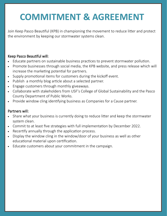### **COMMITMENT & AGREEMENT**

Join Keep Pasco Beautiful (KPB) in championing the movement to reduce litter and protect the environment by keeping our stormwater systems clean.

#### Keep Pasco Beautiful will:

- Educate partners on sustainable business practices to prevent stormwater pollution.
- Promote businesses through social media, the KPB website, and press release which will increase the marketing potential for partners.
- Supply promotional items for customers during the kickoff event.
- Publish a monthly blog article about a selected partner.
- Engage customers through monthly giveaways.
- Collaborate with stakeholders from USF's College of Global Sustainability and the Pasco County Department of Public Works.
- Provide window cling identifying business as Companies for a Cause partner.

#### Partners will:

- Share what your business is currently doing to reduce litter and keep the stormwater system clean.
- Commit to at least five strategies with full implementation by December 2022.
- Recertify annually through the application process.
- Display the window cling in the window/door of your business as well as other educational material upon certification.
- Educate customers about your commitment in the campaign.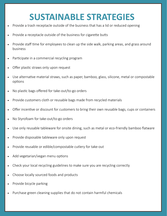### **SUSTAINABLE STRATEGIES**

- Provide a trash receptacle outside of the business that has a lid or reduced opening
- Provide a receptacle outside of the business for cigarette butts
- Provide staff time for employees to clean up the side walk, parking areas, and grass around business
- Participate in a commercial recycling program
- Offer plastic straws only upon request
- Use alternative material straws, such as paper, bamboo, glass, silicone, metal or compostable options
- No plastic bags offered for take-out/to-go orders
- Provide customers cloth or reusable bags made from recycled materials
- Offer incentive or discount for customers to bring their own reusable bags, cups or containers
- No Styrofoam for take-out/to-go orders
- Use only reusable tableware for onsite dining, such as metal or eco-friendly bamboo flatware
- Provide disposable tableware only upon request
- Provide reusable or edible/compostable cutlery for take-out
- Add vegetarian/vegan menu options
- Check your local recycling guidelines to make sure you are recycling correctly
- Choose locally sourced foods and products
- Provide bicycle parking
- Purchase green cleaning supplies that do not contain harmful chemicals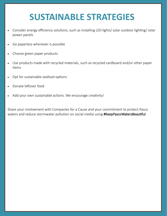### **SUSTAINABLE STRATEGIES**

- Consider energy efficiency solutions, such as installing LED lights/ solar outdoor lighting/ solar power panels
- Go paperless whenever is possible
- Choose green paper products
- Use products made with recycled materials, such as recycled cardboard and/or other paper items
- Opt for sustainable seafood options
- Donate leftover food
- Add your own sustainable actions. We encourage creativity!

Share your involvement with Companies for a Cause and your commitment to protect Pasco waters and reduce stormwater pollution on social media using #KeepPascoWatersBeautiful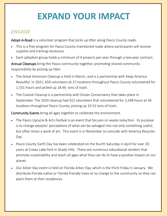## **EXPAND YOUR IMPACT**

#### **ENGAGE**

Adopt-A-Road is a volunteer program that picks up litter along Pasco County roads.

- This is a free program for Pasco County maintained roads where participants will receive supplies and training necessary.
- Each adoption group holds a minimum of 4 projects per year through a two-year contract.

Annual Cleanups bring the Pasco community together, promoting shared community responsibility by picking up litter.

- The Great American Cleanup is held in March, and is a partnership with Keep America Beautiful. In 2021, 659 volunteers at 37 locations throughout Pasco County volunteered for 1,531 hours and picked up 18.46 tons of trash.
- The Coastal Cleanup is a partnership with Ocean Conservancy that takes place in September. The 2020 cleanup had 922 volunteers that volunteered for 3,248 hours at 36 locations throughout Pasco County, picking up 19.52 tons of trash.

Community Events bring all ages together to celebrate the environment.

- The Pasco Upcycle & Arts Festival is an event that focuses on waste reduction. Its purpose is to change peoples' perceptions of what can be salvaged into not only something useful, but often times a work of art. This event is in November to coincide with America Recycles Day.
- Pasco County Earth Day has been celebrated on the fourth Saturday in April for over 20 years at Crews Lake Park in Shady Hills. There are numerous educational vendors that promote sustainability and teach all ages what they can do to have a positive impact on our planet.
- Our Arbor Day event is held on Florida Arbor Day, which is the third Friday in January. We distribute Florida native or Florida friendly trees at no charge to the community so they can plant them at their residences.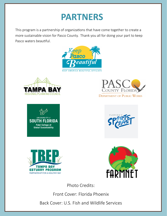### **PARTNERS**

This program is a partnership of organizations that have come together to create a more sustainable vision for Pasco County. Thank you all for doing your part to keep Pasco waters beautiful.















Photo Credits:

Front Cover: Florida Phoenix

Back Cover: U.S. Fish and Wildlife Services